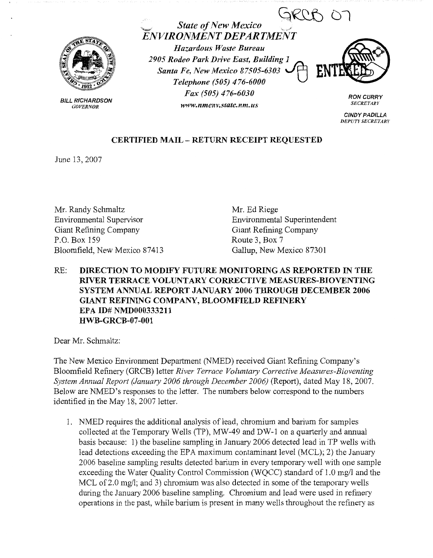

BILL RICHARDSON *GOVERNOR* 

*~~()7* ,,\_, *State of New Mexico* . *ENVIRONMENT DEPARTMENT* 

*Hazardous Waste Bureau 2905 Rodeo Park Drive East, Building~*  **Santa Fe, New Mexico 87505-6303** *Telephone (505) 476-6000 Fax (505) 476-6030 www.nmenv.state.nm.us* 



**RON CURRY**  *SECRETARJ'* 

**CINDY PADILLA**  *DEPUTY SECRETARY* 

## **CERTIFIED MAIL** - **RETURN RECEIPT REQUESTED**

June 13, 2007

Mr. Randy Schmaltz Environmental Supervisor Giant Refining Company P.O. Box 159 Bloomfield, New Mexico 87413

Mr. Ed Riege Environmental Superintendent Giant Refining Company Route 3, Box 7 Gallup, New Mexico 87301

## RE: **DIRECTION TO MODIFY FUTURE MONITORING AS REPORTED IN THE RIVER TERRACE VOLUNTARY CORRECTIVE MEASURES-BIOVENTING SYSTEM ANNUAL REPORT JANUARY 2006 THROUGH DECEMBER 2006 GIANT REFINING COMPANY, BLOOMFIELD REFINERY EPA ID# NMD000333211 HWB-GRCB-07-001**

Dear Mr. Schmaltz:

The New Mexico Environment Department (NMED) received Giant Refining Company's Bloomfield Refinery (GRCB) letter *River Terrace Voluntary Corrective Measures-Bioventing System Annual Report (January 2006 through December 2006)* (Report), dated May 18, 2007. Below are NMED's responses to the letter. The numbers below correspond to the numbers identified in the May 18, 2007 letter.

1. NMED requires the additional analysis of lead, chromium and barium for samples collected at the Temporary Wells (TP), MW-49 and DW-1 on a quarterly and annual basis because: 1) the baseline sampling in January 2006 detected lead in TP wells with lead detections exceeding the EPA maximum contaminant level (MCL); 2) the January 2006 baseline sampling results detected barium in every temporary well with one sample exceeding the Water Quality Control Commission (WQCC) standard of 1.0 mg/I and the MCL of 2.0 mg/l; and 3) chromium was also detected in some of the temporary wells during the January 2006 baseline sampling. Chromium and lead were used in refinery operations in the past, while barium is present in many wells throughout the refinery as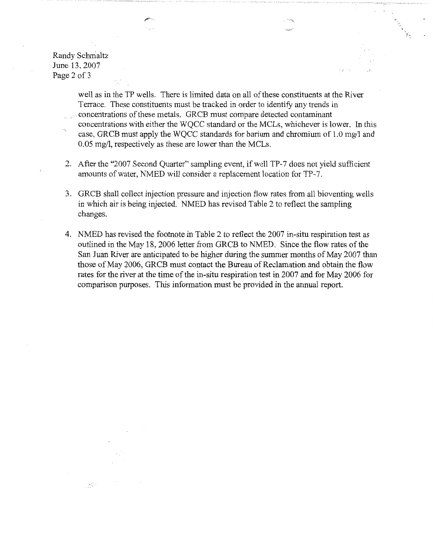Randy Schmaltz June 13, 2007 Page 2 of 3

 $\mathcal{L}^{\text{C}}_{\text{tot}}$ 

well as in the TP wells. There is limited data on all of these constituents at the River Terrace. These constituents must be tracked in order to identify any trends in . concentrations of these metals. GRCB must compare detected contaminant

- concentrations with either the WQCC standard or the MCLs, whichever is lower. In this case, GRCB must apply the WQCC standards for barium and chromium of 1.0 mg/1 and 0.05 mg/1, respectively as these are lower than the MCLs.
- 2. After the "2007 Second Quarter" sampling event, if well TP-7 does not yield sufficient amounts of water, NMED will consider a replacement location for TP-7.
- 3. GRCB shall collect injection pressure and injection flow rates from all bioventing wells in which air is being injected. NMED has revised Table 2 to reflect the sampling changes.
- 4. NMED has revised the footnote in Table 2 to reflect the 2007 in-situ respiration test as outlined in the May 18, 2006 letter from GRCB to NMED. Since the flow rates of the San Juan River are anticipated to be higher during the summer months of May 2007 than those of May 2006, GRCB must contact the Bureau of Reclamation and obtain the flow rates for the river at the time of the in-situ respiration test in 2007 and for May 2006 for comparison purposes. This information must be provided in the annual report.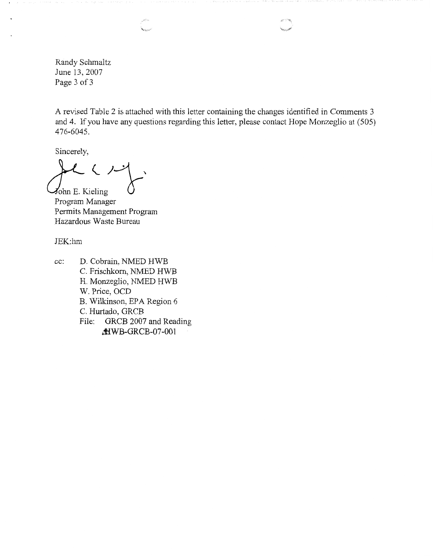Randy Schmaltz June 13, 2007 Page 3 of 3

A revised Table 2 is attached with this letter containing the changes identified in Comments 3 and 4. If you have any questions regarding this letter, please contact Hope Monzeglio at (505) 476-6045.

Sincerely,

 $\mathcal{L}$  ( )- $\lambda$ ohn E. Kieling

Program Manager Permits Management Program Hazardous Waste Bureau

JEK:hm

cc: D. Cobrain, NMED HWB C. Frischkorn, NMED HWB H. Monzeglio, NMED HWB W. Price, OCD B. Wilkinson, EPA Region 6 C. Hurtado, GRCB File: GRCB 2007 and Reading &WB-GRCB-07-001